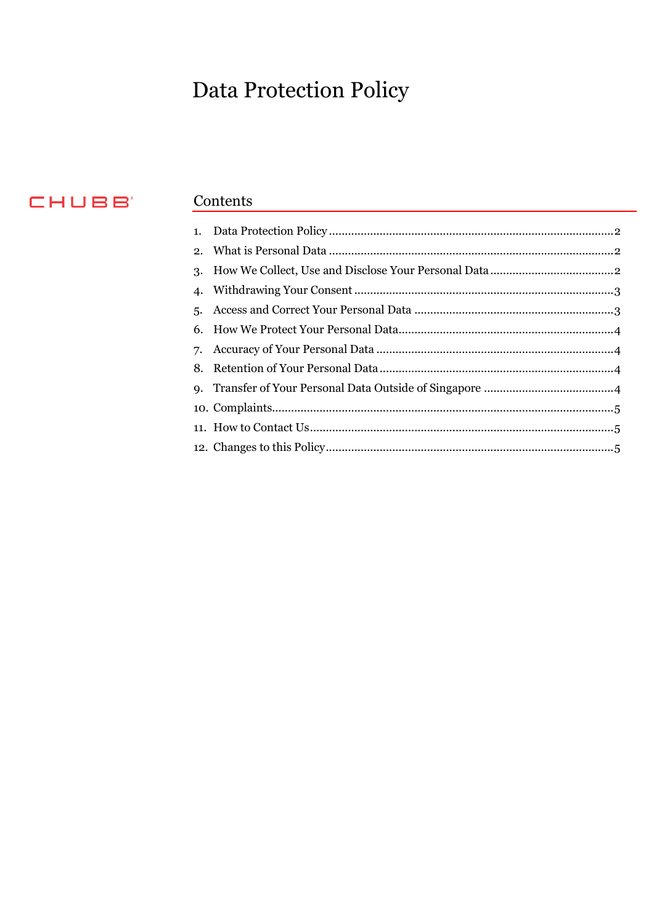# Data Protection Policy

# CHUBB'

# Contents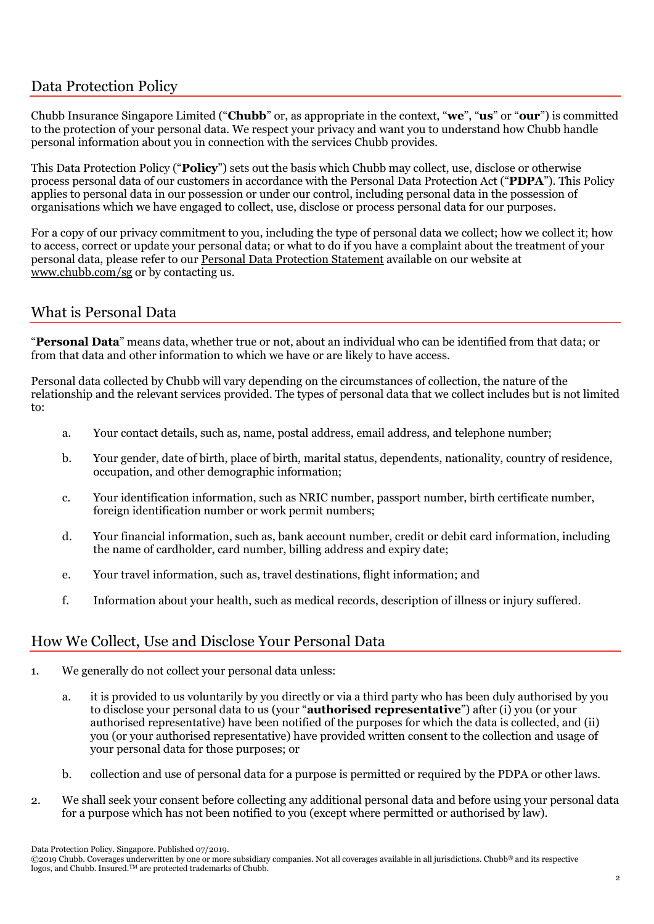#### <span id="page-1-0"></span>Data Protection Policy

Chubb Insurance Singapore Limited ("**Chubb**" or, as appropriate in the context, "**we**", "**us**" or "**our**") is committed to the protection of your personal data. We respect your privacy and want you to understand how Chubb handle personal information about you in connection with the services Chubb provides.

This Data Protection Policy ("**Policy**") sets out the basis which Chubb may collect, use, disclose or otherwise process personal data of our customers in accordance with the Personal Data Protection Act ("**PDPA**"). This Policy applies to personal data in our possession or under our control, including personal data in the possession of organisations which we have engaged to collect, use, disclose or process personal data for our purposes.

For a copy of our privacy commitment to you, including the type of personal data we collect; how we collect it; how to access, correct or update your personal data; or what to do if you have a complaint about the treatment of your personal data, please refer to our [Personal Data Protection Statement](https://www.chubb.com/sg-en/footer/personal-data-protection-statement.aspx) available on our website at [www.chubb.com/sg](https://www.chubb.com/sg-en/) or by contacting us.

# <span id="page-1-1"></span>What is Personal Data

"**Personal Data**" means data, whether true or not, about an individual who can be identified from that data; or from that data and other information to which we have or are likely to have access.

Personal data collected by Chubb will vary depending on the circumstances of collection, the nature of the relationship and the relevant services provided. The types of personal data that we collect includes but is not limited to:

- a. Your contact details, such as, name, postal address, email address, and telephone number;
- b. Your gender, date of birth, place of birth, marital status, dependents, nationality, country of residence, occupation, and other demographic information;
- c. Your identification information, such as NRIC number, passport number, birth certificate number, foreign identification number or work permit numbers;
- d. Your financial information, such as, bank account number, credit or debit card information, including the name of cardholder, card number, billing address and expiry date;
- e. Your travel information, such as, travel destinations, flight information; and
- f. Information about your health, such as medical records, description of illness or injury suffered.

#### <span id="page-1-2"></span>How We Collect, Use and Disclose Your Personal Data

- 1. We generally do not collect your personal data unless:
	- a. it is provided to us voluntarily by you directly or via a third party who has been duly authorised by you to disclose your personal data to us (your "**authorised representative**") after (i) you (or your authorised representative) have been notified of the purposes for which the data is collected, and (ii) you (or your authorised representative) have provided written consent to the collection and usage of your personal data for those purposes; or
	- b. collection and use of personal data for a purpose is permitted or required by the PDPA or other laws.
- 2. We shall seek your consent before collecting any additional personal data and before using your personal data for a purpose which has not been notified to you (except where permitted or authorised by law).

Data Protection Policy. Singapore. Published 07/2019.

<sup>©2019</sup> Chubb. Coverages underwritten by one or more subsidiary companies. Not all coverages available in all jurisdictions. Chubb® and its respective logos, and Chubb. Insured.<sup>™</sup> are protected trademarks of Chubb.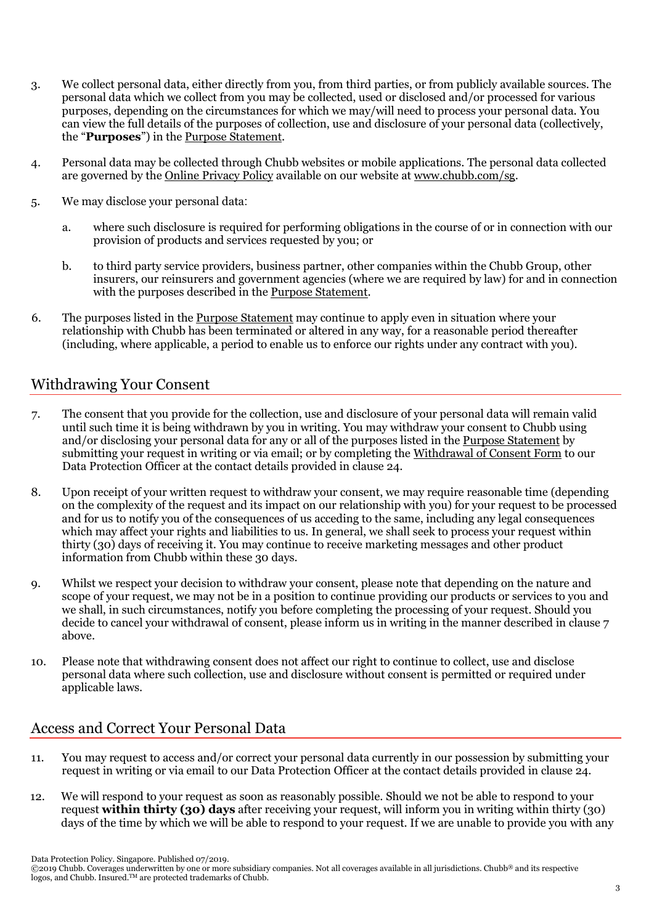- 3. We collect personal data, either directly from you, from third parties, or from publicly available sources. The personal data which we collect from you may be collected, used or disclosed and/or processed for various purposes, depending on the circumstances for which we may/will need to process your personal data. You can view the full details of the purposes of collection, use and disclosure of your personal data (collectively, the "**Purposes**") in the [Purpose Statement.](https://www.chubb.com/sg-en/_assets/documents/personal-data-protection-purpose-statement.pdf)
- 4. Personal data may be collected through Chubb websites or mobile applications. The personal data collected are governed by the [Online Privacy Policy](https://www.chubb.com/sg-en/footer/online-privacy-policy.aspx) available on our website at [www.chubb.com/sg.](https://www.chubb.com/sg-en/)
- 5. We may disclose your personal data:
	- a. where such disclosure is required for performing obligations in the course of or in connection with our provision of products and services requested by you; or
	- b. to third party service providers, business partner, other companies within the Chubb Group, other insurers, our reinsurers and government agencies (where we are required by law) for and in connection with the purposes described in th[e Purpose Statement.](https://www.chubb.com/sg-en/_assets/documents/personal-data-protection-purpose-statement.pdf)
- 6. The purposes listed in th[e Purpose Statement](https://www.chubb.com/sg-en/_assets/documents/personal-data-protection-purpose-statement.pdf) may continue to apply even in situation where your relationship with Chubb has been terminated or altered in any way, for a reasonable period thereafter (including, where applicable, a period to enable us to enforce our rights under any contract with you).

# <span id="page-2-0"></span>Withdrawing Your Consent

- 7. The consent that you provide for the collection, use and disclosure of your personal data will remain valid until such time it is being withdrawn by you in writing. You may withdraw your consent to Chubb using and/or disclosing your personal data for any or all of the purposes listed in the [Purpose Statement](https://www.chubb.com/sg-en/_assets/documents/personal-data-protection-purpose-statement.pdf) by submitting your request in writing or via email; or by completing the [Withdrawal of Consent Form](https://www.chubb.com/sg-en/_assets/documents/withdrawal-of-consent-form.pdf) to our Data Protection Officer at the contact details provided in clause 24.
- 8. Upon receipt of your written request to withdraw your consent, we may require reasonable time (depending on the complexity of the request and its impact on our relationship with you) for your request to be processed and for us to notify you of the consequences of us acceding to the same, including any legal consequences which may affect your rights and liabilities to us. In general, we shall seek to process your request within thirty (30) days of receiving it. You may continue to receive marketing messages and other product information from Chubb within these 30 days.
- 9. Whilst we respect your decision to withdraw your consent, please note that depending on the nature and scope of your request, we may not be in a position to continue providing our products or services to you and we shall, in such circumstances, notify you before completing the processing of your request. Should you decide to cancel your withdrawal of consent, please inform us in writing in the manner described in clause 7 above.
- 10. Please note that withdrawing consent does not affect our right to continue to collect, use and disclose personal data where such collection, use and disclosure without consent is permitted or required under applicable laws.

# <span id="page-2-1"></span>Access and Correct Your Personal Data

- 11. You may request to access and/or correct your personal data currently in our possession by submitting your request in writing or via email to our Data Protection Officer at the contact details provided in clause 24.
- 12. We will respond to your request as soon as reasonably possible. Should we not be able to respond to your request **within thirty (30) days** after receiving your request, will inform you in writing within thirty (30) days of the time by which we will be able to respond to your request. If we are unable to provide you with any

Data Protection Policy. Singapore. Published 07/2019.

<sup>©2019</sup> Chubb. Coverages underwritten by one or more subsidiary companies. Not all coverages available in all jurisdictions. Chubb® and its respective logos, and Chubb. Insured.™ are protected trademarks of Chubb.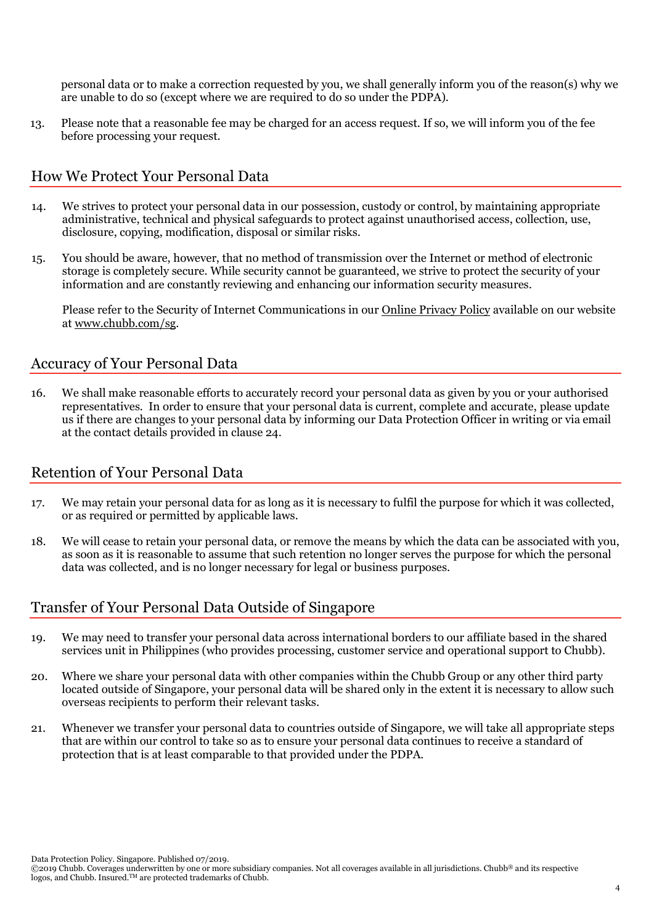personal data or to make a correction requested by you, we shall generally inform you of the reason(s) why we are unable to do so (except where we are required to do so under the PDPA).

13. Please note that a reasonable fee may be charged for an access request. If so, we will inform you of the fee before processing your request.

#### <span id="page-3-0"></span>How We Protect Your Personal Data

- 14. We strives to protect your personal data in our possession, custody or control, by maintaining appropriate administrative, technical and physical safeguards to protect against unauthorised access, collection, use, disclosure, copying, modification, disposal or similar risks.
- 15. You should be aware, however, that no method of transmission over the Internet or method of electronic storage is completely secure. While security cannot be guaranteed, we strive to protect the security of your information and are constantly reviewing and enhancing our information security measures.

Please refer to the Security of Internet Communications in ou[r Online Privacy Policy](https://www.chubb.com/sg-en/footer/online-privacy-policy.aspx) available on our website at [www.chubb.com/sg.](https://www.chubb.com/sg-en)

### <span id="page-3-1"></span>Accuracy of Your Personal Data

16. We shall make reasonable efforts to accurately record your personal data as given by you or your authorised representatives. In order to ensure that your personal data is current, complete and accurate, please update us if there are changes to your personal data by informing our Data Protection Officer in writing or via email at the contact details provided in clause 24.

#### <span id="page-3-2"></span>Retention of Your Personal Data

- 17. We may retain your personal data for as long as it is necessary to fulfil the purpose for which it was collected, or as required or permitted by applicable laws.
- 18. We will cease to retain your personal data, or remove the means by which the data can be associated with you, as soon as it is reasonable to assume that such retention no longer serves the purpose for which the personal data was collected, and is no longer necessary for legal or business purposes.

# <span id="page-3-3"></span>Transfer of Your Personal Data Outside of Singapore

- 19. We may need to transfer your personal data across international borders to our affiliate based in the shared services unit in Philippines (who provides processing, customer service and operational support to Chubb).
- 20. Where we share your personal data with other companies within the Chubb Group or any other third party located outside of Singapore, your personal data will be shared only in the extent it is necessary to allow such overseas recipients to perform their relevant tasks.
- 21. Whenever we transfer your personal data to countries outside of Singapore, we will take all appropriate steps that are within our control to take so as to ensure your personal data continues to receive a standard of protection that is at least comparable to that provided under the PDPA.

Data Protection Policy. Singapore. Published 07/2019.

<sup>©2019</sup> Chubb. Coverages underwritten by one or more subsidiary companies. Not all coverages available in all jurisdictions. Chubb® and its respective logos, and Chubb. Insured.™ are protected trademarks of Chubb.